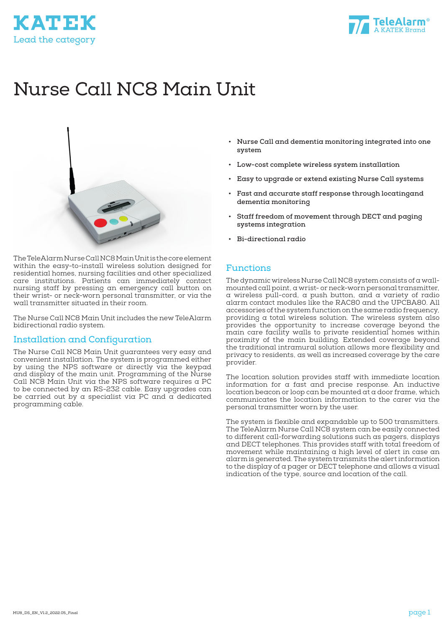



# Nurse Call NC8 Main Unit



The TeleAlarm Nurse Call NC8 Main Unit is the core element within the easy-to-install wireless solution designed for residential homes, nursing facilities and other specialized care institutions. Patients can immediately contact nursing staff by pressing an emergency call button on their wrist- or neck-worn personal transmitter, or via the wall transmitter situated in their room.

The Nurse Call NC8 Main Unit includes the new TeleAlarm bidirectional radio system.

### Installation and Configuration

The Nurse Call NC8 Main Unit guarantees very easy and convenient installation. The system is programmed either by using the NPS software or directly via the keypad and display of the main unit. Programming of the Nurse Call NC8 Main Unit via the NPS software requires a PC to be connected by an RS-232 cable. Easy upgrades can be carried out by a specialist via PC and a dedicated programming cable.

- **• Nurse Call and dementia monitoring integrated into one system**
- **• Low-cost complete wireless system installation**
- **• Easy to upgrade or extend existing Nurse Call systems**
- **• Fast and accurate staff response through locatingand dementia monitoring**
- **• Staff freedom of movement through DECT and paging systems integration**
- **• Bi-directional radio**

#### Functions

The dynamic wireless Nurse Call NC8 system consists of a wallmounted call point, a wrist- or neck-worn personal transmitter, a wireless pull-cord, a push button, and a variety of radio alarm contact modules like the RAC80 and the UPCBA80. All accessories of the system function on the same radio frequency, providing a total wireless solution. The wireless system also provides the opportunity to increase coverage beyond the main care facility walls to private residential homes within proximity of the main building. Extended coverage beyond the traditional intramural solution allows more flexibility and privacy to residents, as well as increased coverage by the care provider.

The location solution provides staff with immediate location information for a fast and precise response. An inductive location beacon or loop can be mounted at a door frame, which communicates the location information to the carer via the personal transmitter worn by the user.

The system is flexible and expandable up to 500 transmitters. The TeleAlarm Nurse Call NC8 system can be easily connected to different call-forwarding solutions such as pagers, displays and DECT telephones. This provides staff with total freedom of movement while maintaining a high level of alert in case an alarm is generated. The system transmits the alert information to the display of a pager or DECT telephone and allows a visual indication of the type, source and location of the call.